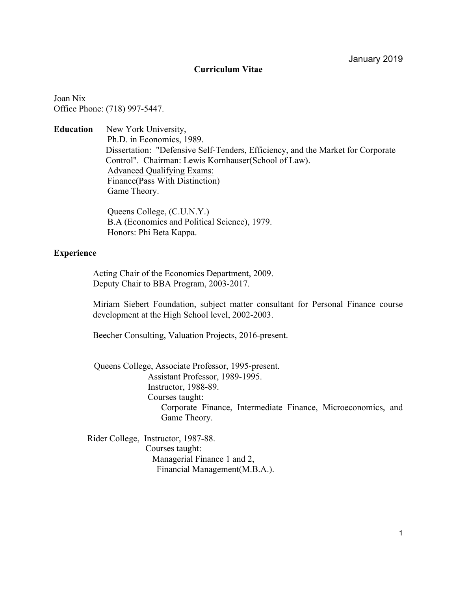#### **Curriculum Vitae**

Joan Nix Office Phone: (718) 997-5447.

**Education** New York University, Ph.D. in Economics, 1989. Dissertation: "Defensive Self-Tenders, Efficiency, and the Market for Corporate Control". Chairman: Lewis Kornhauser(School of Law). Advanced Qualifying Exams: Finance(Pass With Distinction) Game Theory.

> Queens College, (C.U.N.Y.) B.A (Economics and Political Science), 1979. Honors: Phi Beta Kappa.

#### **Experience**

Acting Chair of the Economics Department, 2009. Deputy Chair to BBA Program, 2003-2017.

Miriam Siebert Foundation, subject matter consultant for Personal Finance course development at the High School level, 2002-2003.

Beecher Consulting, Valuation Projects, 2016-present.

 Queens College, Associate Professor, 1995-present. Assistant Professor, 1989-1995. Instructor, 1988-89. Courses taught: Corporate Finance, Intermediate Finance, Microeconomics, and Game Theory.

 Rider College, Instructor, 1987-88. Courses taught: Managerial Finance 1 and 2, Financial Management(M.B.A.).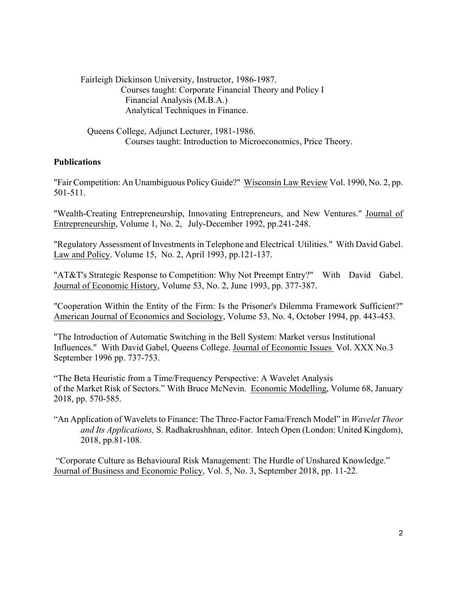Fairleigh Dickinson University, Instructor, 1986-1987. Courses taught: Corporate Financial Theory and Policy I Financial Analysis (M.B.A.) Analytical Techniques in Finance.

 Queens College, Adjunct Lecturer, 1981-1986. Courses taught: Introduction to Microeconomics, Price Theory.

# **Publications**

"Fair Competition: An Unambiguous Policy Guide?" Wisconsin Law Review Vol. 1990, No. 2, pp. 501-511.

"Wealth-Creating Entrepreneurship, Innovating Entrepreneurs, and New Ventures." Journal of Entrepreneurship, Volume 1, No. 2, July-December 1992, pp.241-248.

"Regulatory Assessment of Investments in Telephone and Electrical Utilities." With David Gabel. Law and Policy. Volume 15, No. 2, April 1993, pp.121-137.

"AT&T's Strategic Response to Competition: Why Not Preempt Entry?" With David Gabel. Journal of Economic History, Volume 53, No. 2, June 1993, pp. 377-387.

"Cooperation Within the Entity of the Firm: Is the Prisoner's Dilemma Framework Sufficient?" American Journal of Economics and Sociology, Volume 53, No. 4, October 1994, pp. 443-453.

"The Introduction of Automatic Switching in the Bell System: Market versus Institutional Influences." With David Gabel, Queens College. Journal of Economic Issues Vol. XXX No.3 September 1996 pp. 737-753.

"The Beta Heuristic from a Time/Frequency Perspective: A Wavelet Analysis of the Market Risk of Sectors." With Bruce McNevin. Economic Modelling, Volume 68, January 2018, pp. 570-585.

"An Application of Wavelets to Finance: The Three-Factor Fama/French Model" in *Wavelet Theor and Its Applications,* S. Radhakrushhnan, editor. Intech Open (London: United Kingdom), 2018, pp.81-108.

"Corporate Culture as Behavioural Risk Management: The Hurdle of Unshared Knowledge." Journal of Business and Economic Policy, Vol. 5, No. 3, September 2018, pp. 11-22.